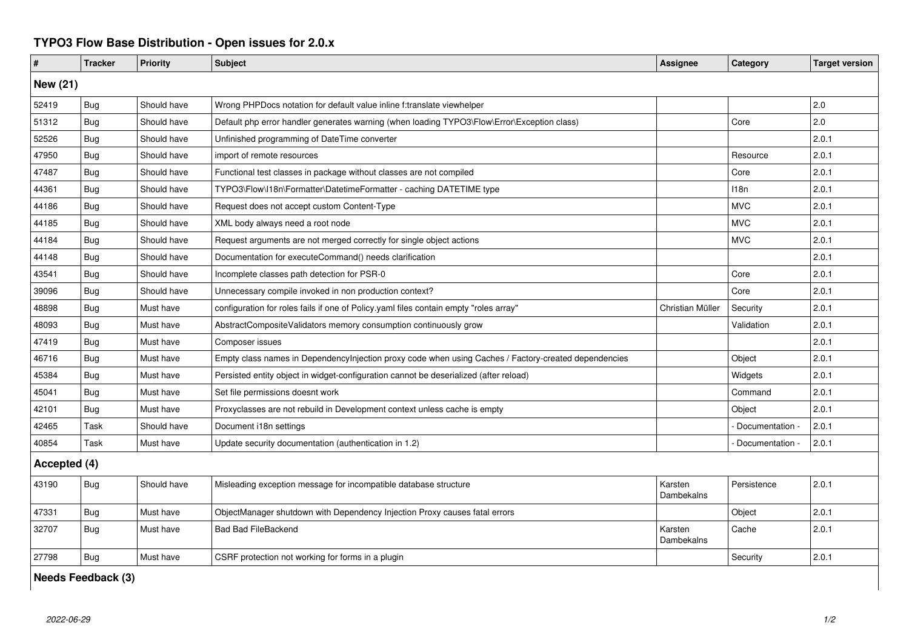## **TYPO3 Flow Base Distribution - Open issues for 2.0.x**

| #               | <b>Tracker</b> | Priority    | <b>Subject</b>                                                                                       | <b>Assignee</b>       | Category        | <b>Target version</b> |  |  |  |
|-----------------|----------------|-------------|------------------------------------------------------------------------------------------------------|-----------------------|-----------------|-----------------------|--|--|--|
| <b>New (21)</b> |                |             |                                                                                                      |                       |                 |                       |  |  |  |
| 52419           | Bug            | Should have | Wrong PHPDocs notation for default value inline f:translate viewhelper                               |                       |                 | 2.0                   |  |  |  |
| 51312           | Bug            | Should have | Default php error handler generates warning (when loading TYPO3\Flow\Error\Exception class)          |                       | Core            | 2.0                   |  |  |  |
| 52526           | Bug            | Should have | Unfinished programming of DateTime converter                                                         |                       |                 | 2.0.1                 |  |  |  |
| 47950           | Bug            | Should have | import of remote resources                                                                           |                       | Resource        | 2.0.1                 |  |  |  |
| 47487           | Bug            | Should have | Functional test classes in package without classes are not compiled                                  |                       | Core            | 2.0.1                 |  |  |  |
| 44361           | <b>Bug</b>     | Should have | TYPO3\Flow\I18n\Formatter\DatetimeFormatter - caching DATETIME type                                  |                       | 118n            | 2.0.1                 |  |  |  |
| 44186           | Bug            | Should have | Request does not accept custom Content-Type                                                          |                       | <b>MVC</b>      | 2.0.1                 |  |  |  |
| 44185           | Bug            | Should have | XML body always need a root node                                                                     |                       | <b>MVC</b>      | 2.0.1                 |  |  |  |
| 44184           | Bug            | Should have | Request arguments are not merged correctly for single object actions                                 |                       | <b>MVC</b>      | 2.0.1                 |  |  |  |
| 44148           | Bug            | Should have | Documentation for executeCommand() needs clarification                                               |                       |                 | 2.0.1                 |  |  |  |
| 43541           | <b>Bug</b>     | Should have | Incomplete classes path detection for PSR-0                                                          |                       | Core            | 2.0.1                 |  |  |  |
| 39096           | Bug            | Should have | Unnecessary compile invoked in non production context?                                               |                       | Core            | 2.0.1                 |  |  |  |
| 48898           | Bug            | Must have   | configuration for roles fails if one of Policy.yaml files contain empty "roles array"                | Christian Müller      | Security        | 2.0.1                 |  |  |  |
| 48093           | Bug            | Must have   | AbstractCompositeValidators memory consumption continuously grow                                     |                       | Validation      | 2.0.1                 |  |  |  |
| 47419           | <b>Bug</b>     | Must have   | Composer issues                                                                                      |                       |                 | 2.0.1                 |  |  |  |
| 46716           | Bug            | Must have   | Empty class names in Dependencylnjection proxy code when using Caches / Factory-created dependencies |                       | Object          | 2.0.1                 |  |  |  |
| 45384           | Bug            | Must have   | Persisted entity object in widget-configuration cannot be deserialized (after reload)                |                       | Widgets         | 2.0.1                 |  |  |  |
| 45041           | <b>Bug</b>     | Must have   | Set file permissions doesnt work                                                                     |                       | Command         | 2.0.1                 |  |  |  |
| 42101           | Bug            | Must have   | Proxyclasses are not rebuild in Development context unless cache is empty                            |                       | Object          | 2.0.1                 |  |  |  |
| 42465           | Task           | Should have | Document i18n settings                                                                               |                       | Documentation   | 2.0.1                 |  |  |  |
| 40854           | Task           | Must have   | Update security documentation (authentication in 1.2)                                                |                       | Documentation - | 2.0.1                 |  |  |  |
| Accepted (4)    |                |             |                                                                                                      |                       |                 |                       |  |  |  |
| 43190           | Bug            | Should have | Misleading exception message for incompatible database structure                                     | Karsten<br>Dambekalns | Persistence     | 2.0.1                 |  |  |  |
| 47331           | Bug            | Must have   | ObjectManager shutdown with Dependency Injection Proxy causes fatal errors                           |                       | Object          | 2.0.1                 |  |  |  |
| 32707           | Bug            | Must have   | <b>Bad Bad FileBackend</b>                                                                           | Karsten<br>Dambekalns | Cache           | 2.0.1                 |  |  |  |
| 27798           | Bug            | Must have   | CSRF protection not working for forms in a plugin                                                    |                       | Security        | 2.0.1                 |  |  |  |

**Needs Feedback (3)**